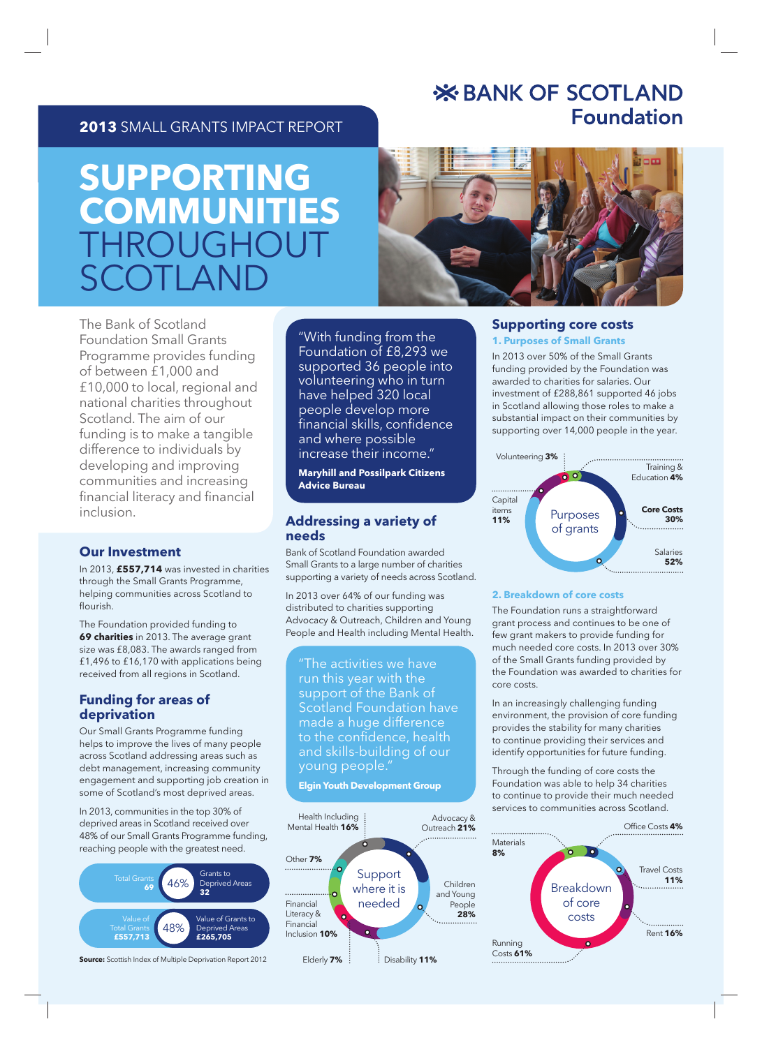# **X BANK OF SCOTLAND Foundation**

### **2013** SMALL GRANTS IMPACT REPORT

# **SUPPORTING COMMUNITIES** HROUGH  $\Gamma$ () | |  $\Delta$ N



The Bank of Scotland Foundation Small Grants Programme provides funding of between £1,000 and £10,000 to local, regional and national charities throughout Scotland. The aim of our funding is to make a tangible difference to individuals by developing and improving communities and increasing financial literacy and financial inclusion.

#### **Our Investment**

In 2013, **£557,714** was invested in charities through the Small Grants Programme, helping communities across Scotland to flourish

The Foundation provided funding to **69 charities** in 2013. The average grant size was £8,083. The awards ranged from £1,496 to £16,170 with applications being received from all regions in Scotland.

#### **Funding for areas of deprivation**

Our Small Grants Programme funding helps to improve the lives of many people across Scotland addressing areas such as debt management, increasing community engagement and supporting job creation in some of Scotland's most deprived areas.

In 2013, communities in the top 30% of deprived areas in Scotland received over 48% of our Small Grants Programme funding, reaching people with the greatest need.



**Source:** Scottish Index of Multiple Deprivation Report 2012

"With funding from the Foundation of £8,293 we supported 36 people into volunteering who in turn have helped 320 local people develop more financial skills, confidence and where possible increase their income."

**Maryhill and Possilpark Citizens Advice Bureau**

#### **Addressing a variety of needs**

Bank of Scotland Foundation awarded Small Grants to a large number of charities supporting a variety of needs across Scotland.

In 2013 over 64% of our funding was distributed to charities supporting Advocacy & Outreach, Children and Young People and Health including Mental Health.

"The activities we have run this year with the support of the Bank of Scotland Foundation have made a huge difference to the confidence, health and skills-building of our young people."

#### **Elgin Youth Development Group**



#### **Supporting core costs**

#### **1. Purposes of Small Grants**

In 2013 over 50% of the Small Grants funding provided by the Foundation was awarded to charities for salaries. Our investment of £288,861 supported 46 jobs in Scotland allowing those roles to make a substantial impact on their communities by supporting over 14,000 people in the year.



#### **2. Breakdown of core costs**

The Foundation runs a straightforward grant process and continues to be one of few grant makers to provide funding for much needed core costs. In 2013 over 30% of the Small Grants funding provided by the Foundation was awarded to charities for core costs.

In an increasingly challenging funding environment, the provision of core funding provides the stability for many charities to continue providing their services and identify opportunities for future funding.

Through the funding of core costs the Foundation was able to help 34 charities to continue to provide their much needed services to communities across Scotland.